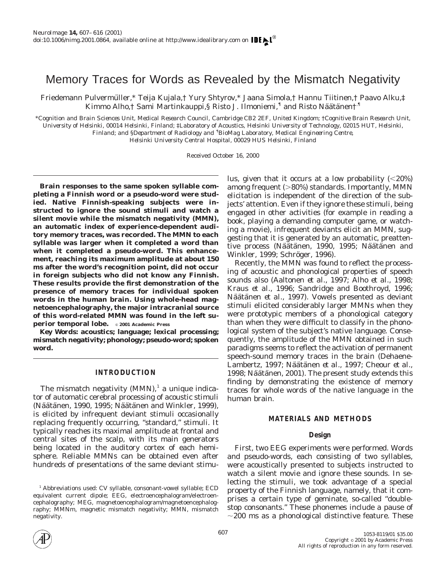# Memory Traces for Words as Revealed by the Mismatch Negativity

Friedemann Pulvermüller,\* Teija Kujala,† Yury Shtyrov,\* Jaana Simola,† Hannu Tiitinen,† Paavo Alku,‡ Kimmo Alho,† Sami Martinkauppi,§ Risto J. Ilmoniemi,<sup>†</sup> and Risto Näätänen†<sup>,†</sup>

\**Cognition and Brain Sciences Unit, Medical Research Council, Cambridge CB2 2EF, United Kingdom;* †*Cognitive Brain Research Unit, University of Helsinki, 00014 Helsinki, Finland;* ‡*Laboratory of Acoustics, Helsinki University of Technology, 02015 HUT, Helsinki, Finland; and* §*Department of Radiology and* ¶ *BioMag Laboratory, Medical Engineering Centre, Helsinki University Central Hospital, 00029 HUS Helsinki, Finland*

Received October 16, 2000

**Brain responses to the same spoken syllable completing a Finnish word or a pseudo-word were studied. Native Finnish-speaking subjects were instructed to ignore the sound stimuli and watch a silent movie while the mismatch negativity (MMN), an automatic index of experience-dependent auditory memory traces, was recorded. The MMN to each syllable was larger when it completed a word than when it completed a pseudo-word. This enhancement, reaching its maximum amplitude at about 150 ms after the word's recognition point, did not occur in foreign subjects who did not know any Finnish. These results provide the first demonstration of the presence of memory traces for individual spoken words in the human brain. Using whole-head magnetoencephalography, the major intracranial source of this word-related MMN was found in the left superior temporal lobe.** © **2001 Academic Press**

*Key Words:* **acoustics; language; lexical processing; mismatch negativity; phonology; pseudo-word; spoken word.**

## **INTRODUCTION**

The mismatch negativity  $(MMN)$ ,<sup>1</sup> a unique indicator of automatic cerebral processing of acoustic stimuli (Näätänen, 1990, 1995; Näätänen and Winkler, 1999), is elicited by infrequent deviant stimuli occasionally replacing frequently occurring, "standard," stimuli. It typically reaches its maximal amplitude at frontal and central sites of the scalp, with its main generators being located in the auditory cortex of each hemisphere. Reliable MMNs can be obtained even after hundreds of presentations of the same deviant stimulus, given that it occurs at a low probability  $\left( \langle 20\% \rangle \right)$ among frequent  $(>80%)$  standards. Importantly, MMN elicitation is independent of the direction of the subjects' attention. Even if they ignore these stimuli, being engaged in other activities (for example in reading a book, playing a demanding computer game, or watching a movie), infrequent deviants elicit an MMN, suggesting that it is generated by an automatic, preattentive process (Näätänen, 1990, 1995; Näätänen and Winkler, 1999; Schröger, 1996).

Recently, the MMN was found to reflect the processing of acoustic and phonological properties of speech sounds also (Aaltonen *et al.,* 1997; Alho *et al.,* 1998; Kraus *et al.,* 1996; Sandridge and Boothroyd, 1996; Näätänen *et al.,* 1997). Vowels presented as deviant stimuli elicited considerably larger MMNs when they were prototypic members of a phonological category than when they were difficult to classify in the phonological system of the subject's native language. Consequently, the amplitude of the MMN obtained in such paradigms seems to reflect the activation of permanent speech-sound memory traces in the brain (Dehaene-Lambertz, 1997; Näätänen et al., 1997; Cheour et al., 1998; Näätänen, 2001). The present study extends this finding by demonstrating the existence of memory traces for whole words of the native language in the human brain.

# **MATERIALS AND METHODS**

## **Design**

First, two EEG experiments were performed. Words and pseudo-words, each consisting of two syllables, were acoustically presented to subjects instructed to watch a silent movie and ignore these sounds. In selecting the stimuli, we took advantage of a special property of the Finnish language, namely, that it comprises a certain type of geminate, so-called "doublestop consonants." These phonemes include a pause of  $\sim$ 200 ms as a phonological distinctive feature. These



<sup>&</sup>lt;sup>1</sup> Abbreviations used: CV syllable, consonant-vowel syllable; ECD equivalent current dipole; EEG, electroencephalogram/electroencephalography; MEG, magnetoencephalogram/magnetoencephalography; MMNm, magnetic mismatch negativity; MMN, mismatch negativity.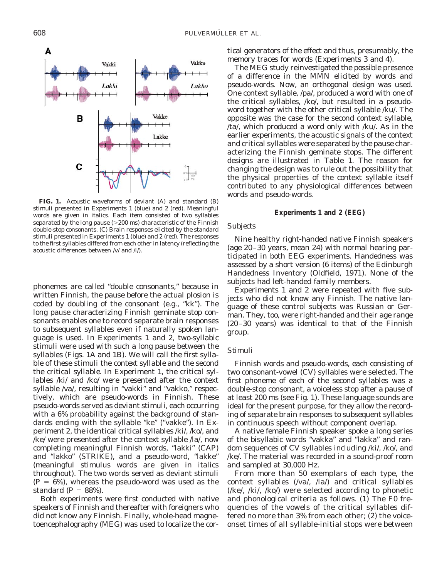

**FIG. 1.** Acoustic waveforms of deviant (A) and standard (B) stimuli presented in Experiments 1 (blue) and 2 (red). Meaningful words are given in italics. Each item consisted of two syllables separated by the long pause  $(>200 \text{ ms})$  characteristic of the Finnish double-stop consonants. (C) Brain responses elicited by the standard stimuli presented in Experiments 1 (blue) and 2 (red). The responses to the first syllables differed from each other in latency (reflecting the acoustic differences between /v/ and /l/).

phonemes are called "double consonants," because in written Finnish, the pause before the actual plosion is coded by doubling of the consonant (e.g., "kk"). The long pause characterizing Finnish geminate stop consonants enables one to record separate brain responses to subsequent syllables even if naturally spoken language is used. In Experiments 1 and 2, two-syllabic stimuli were used with such a long pause between the syllables (Figs. 1A and 1B). We will call the first syllable of these stimuli the *context syllable* and the second the *critical syllable.* In Experiment 1, the critical syllables /ki/ and /ko/ were presented after the context syllable /va/, resulting in "vakki" and "vakko," respectively, which are pseudo-words in Finnish. These pseudo-words served as deviant stimuli, each occurring with a 6% probability against the background of standards ending with the syllable "ke" ("vakke"). In Experiment 2, the identical critical syllables /ki/, /ko/, and /ke/ were presented after the context syllable /la/, now completing meaningful Finnish words, "*lakki*" (CAP) and "*lakko*" (STRIKE), and a pseudo-word, "lakke" (meaningful stimulus words are given in italics throughout). The two words served as deviant stimuli  $(P = 6\%)$ , whereas the pseudo-word was used as the standard  $(P = 88\%).$ 

Both experiments were first conducted with native speakers of Finnish and thereafter with foreigners who did not know any Finnish. Finally, whole-head magnetoencephalography (MEG) was used to localize the cortical generators of the effect and thus, presumably, the memory traces for words (Experiments 3 and 4).

The MEG study reinvestigated the possible presence of a difference in the MMN elicited by words and pseudo-words. Now, an orthogonal design was used. One context syllable, /pa/, produced a word with one of the critical syllables, /ko/, but resulted in a pseudoword together with the other critical syllable /ku/. The opposite was the case for the second context syllable, /ta/, which produced a word only with /ku/. As in the earlier experiments, the acoustic signals of the context and critical syllables were separated by the pause characterizing the Finnish geminate stops. The different designs are illustrated in Table 1. The reason for changing the design was to rule out the possibility that the physical properties of the context syllable itself contributed to any physiological differences between words and pseudo-words.

## **Experiments 1 and 2 (EEG)**

# *Subjects*

Nine healthy right-handed native Finnish speakers (age 20–30 years, mean 24) with normal hearing participated in both EEG experiments. Handedness was assessed by a short version (6 items) of the Edinburgh Handedness Inventory (Oldfield, 1971). None of the subjects had left-handed family members.

Experiments 1 and 2 were repeated with five subjects who did not know any Finnish. The native language of these control subjects was Russian or German. They, too, were right-handed and their age range (20–30 years) was identical to that of the Finnish group.

# *Stimuli*

Finnish words and pseudo-words, each consisting of two consonant-vowel (CV) syllables were selected. The first phoneme of each of the second syllables was a double-stop consonant, a voiceless stop after a pause of at least 200 ms (see Fig. 1). These language sounds are ideal for the present purpose, for they allow the recording of separate brain responses to subsequent syllables in continuous speech without component overlap.

A native female Finnish speaker spoke a long series of the bisyllabic words "vakka" and "lakka" and random sequences of CV syllables including /ki/, /ko/, and /ke/. The material was recorded in a sound-proof room and sampled at 30,000 Hz.

From more than 50 exemplars of each type, the context syllables (/va/, /la/) and critical syllables (/ke/, /ki/, /ko/) were selected according to phonetic and phonological criteria as follows. (1) The F0 frequencies of the vowels of the critical syllables differed no more than 3% from each other; (2) the voiceonset times of all syllable-initial stops were between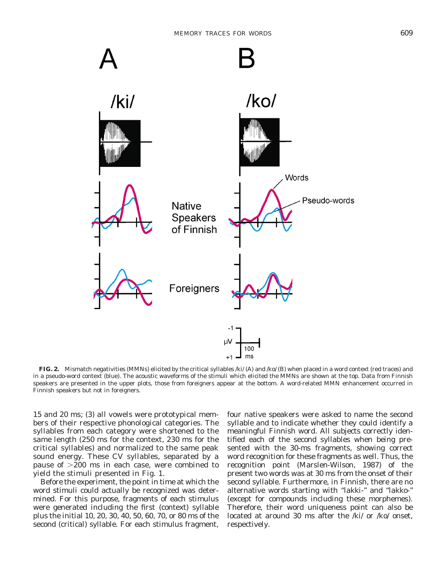

**FIG. 2.** Mismatch negativities (MMNs) elicited by the critical syllables /ki/ (A) and /ko/ (B) when placed in a word context (red traces) and in a pseudo-word context (blue). The acoustic waveforms of the stimuli which elicited the MMNs are shown at the top. Data from Finnish speakers are presented in the upper plots, those from foreigners appear at the bottom. A word-related MMN enhancement occurred in Finnish speakers but not in foreigners.

15 and 20 ms; (3) all vowels were prototypical members of their respective phonological categories. The syllables from each category were shortened to the same length (250 ms for the context, 230 ms for the critical syllables) and normalized to the same peak sound energy. These CV syllables, separated by a pause of  $>200$  ms in each case, were combined to yield the stimuli presented in Fig. 1.

Before the experiment, the point in time at which the word stimuli could actually be recognized was determined. For this purpose, fragments of each stimulus were generated including the first (context) syllable plus the initial 10, 20, 30, 40, 50, 60, 70, or 80 ms of the second (critical) syllable. For each stimulus fragment,

four native speakers were asked to name the second syllable and to indicate whether they could identify a meaningful Finnish word. All subjects correctly identified each of the second syllables when being presented with the 30-ms fragments, showing correct word recognition for these fragments as well. Thus, the recognition point (Marslen-Wilson, 1987) of the present two words was at 30 ms from the onset of their second syllable. Furthermore, in Finnish, there are no alternative words starting with "*lakki*-" and "*lakko*-" (except for compounds including these morphemes). Therefore, their word uniqueness point can also be located at around 30 ms after the /ki/ or /ko/ onset, respectively.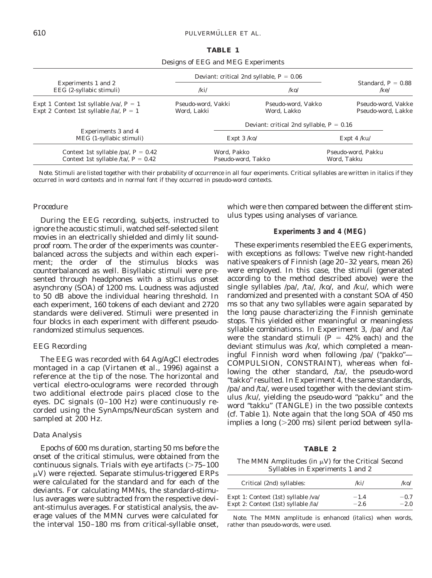#### **TABLE 1**

|  |  |  | Designs of EEG and MEG Experiments |
|--|--|--|------------------------------------|
|--|--|--|------------------------------------|

|                                                                                | Deviant: critical 2nd syllable, $P = 0.06$ |                    |                                    |
|--------------------------------------------------------------------------------|--------------------------------------------|--------------------|------------------------------------|
| Experiments 1 and 2<br>EEG (2-syllabic stimuli)                                | /ki/                                       | /k <sub>0</sub>    | Standard, $P = 0.88$<br>$/$ ke $/$ |
| Expt 1 Context 1st syllable /va/, $P = 1$                                      | Pseudo-word, Vakki                         | Pseudo-word, Vakko | Pseudo-word, Vakke                 |
| Expt 2 Context 1st syllable $\Lambda a$ , $P = 1$                              | Word, Lakki                                | Word, Lakko        | Pseudo-word, Lakke                 |
|                                                                                | Deviant: critical 2nd syllable, $P = 0.16$ |                    |                                    |
| Experiments 3 and 4<br>MEG (1-syllabic stimuli)                                | Expt $3$ /ko/                              |                    | Expt $4$ /ku/                      |
| Context 1st syllable /pa/, $P = 0.42$<br>Context 1st syllable /ta/, $P = 0.42$ | Word, Pakko                                | Pseudo-word, Takko | Pseudo-word, Pakku<br>Word, Takku  |

*Note.* Stimuli are listed together with their probability of occurrence in all four experiments. Critical syllables are written in italics if they occurred in word contexts and in normal font if they occurred in pseudo-word contexts.

#### *Procedure*

During the EEG recording, subjects, instructed to ignore the acoustic stimuli, watched self-selected silent movies in an electrically shielded and dimly lit soundproof room. The order of the experiments was counterbalanced across the subjects and within each experiment; the order of the stimulus blocks was counterbalanced as well. Bisyllabic stimuli were presented through headphones with a stimulus onset asynchrony (SOA) of 1200 ms. Loudness was adjusted to 50 dB above the individual hearing threshold. In each experiment, 160 tokens of each deviant and 2720 standards were delivered. Stimuli were presented in four blocks in each experiment with different pseudorandomized stimulus sequences.

#### *EEG Recording*

The EEG was recorded with 64 Ag/AgCl electrodes montaged in a cap (Virtanen *et al.,* 1996) against a reference at the tip of the nose. The horizontal and vertical electro-oculograms were recorded through two additional electrode pairs placed close to the eyes. DC signals (0–100 Hz) were continuously recorded using the SynAmps/NeuroScan system and sampled at 200 Hz.

# *Data Analysis*

Epochs of 600 ms duration, starting 50 ms before the onset of the critical stimulus, were obtained from the continuous signals. Trials with eye artifacts  $($ >75–100  $\mu$ V) were rejected. Separate stimulus-triggered ERPs were calculated for the standard and for each of the deviants. For calculating MMNs, the standard-stimulus averages were subtracted from the respective deviant-stimulus averages. For statistical analysis, the average values of the MMN curves were calculated for the interval 150–180 ms from critical-syllable onset,

which were then compared between the different stimulus types using analyses of variance.

#### **Experiments 3 and 4 (MEG)**

These experiments resembled the EEG experiments, with exceptions as follows: Twelve new right-handed native speakers of Finnish (age 20–32 years, mean 26) were employed. In this case, the stimuli (generated according to the method described above) were the single syllables /pa/, /ta/, /ko/, and /ku/, which were randomized and presented with a constant SOA of 450 ms so that any two syllables were again separated by the long pause characterizing the Finnish geminate stops. This yielded either meaningful or meaningless syllable combinations. In Experiment 3, /pa/ and /ta/ were the standard stimuli  $(P = 42\%$  each) and the deviant stimulus was /ko/, which completed a meaningful Finnish word when following /pa/ ("*pakko*"— COMPULSION, CONSTRAINT), whereas when following the other standard, /ta/, the pseudo-word "takko" resulted. In Experiment 4, the same standards, /pa/ and /ta/, were used together with the deviant stimulus /ku/, yielding the pseudo-word "pakku" and the word "*takku*" (TANGLE) in the two possible contexts (cf. Table 1). Note again that the long SOA of 450 ms implies a long  $(>200 \text{ ms})$  silent period between sylla-

#### **TABLE 2**

The MMN Amplitudes (in  $\mu$ V) for the Critical Second Syllables in Experiments 1 and 2

| Critical (2nd) syllables:           | /ki/   | /ko/   |
|-------------------------------------|--------|--------|
| Expt 1: Context (1st) syllable /va/ | $-1.4$ | $-0.7$ |
| Expt 2: Context (1st) syllable /la/ | $-2.6$ | $-2.0$ |

*Note.* The MMN amplitude is enhanced (italics) when words, rather than pseudo-words, were used.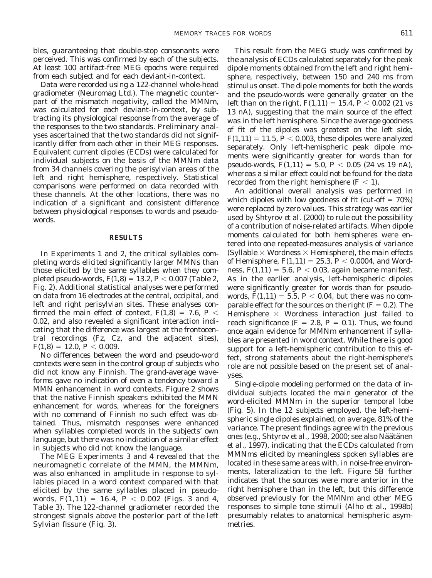bles, guaranteeing that double-stop consonants were perceived. This was confirmed by each of the subjects. At least 100 artifact-free MEG epochs were required from each subject and for each deviant-in-context.

Data were recorded using a 122-channel whole-head gradiometer (Neuromag Ltd.). The magnetic counterpart of the mismatch negativity, called the MMNm, was calculated for each deviant-in-context, by subtracting its physiological response from the average of the responses to the two standards. Preliminary analyses ascertained that the two standards did not significantly differ from each other in their MEG responses. Equivalent current dipoles (ECDs) were calculated for individual subjects on the basis of the MMNm data from 34 channels covering the perisylvian areas of the left and right hemisphere, respectively. Statistical comparisons were performed on data recorded with these channels. At the other locations, there was no indication of a significant and consistent difference between physiological responses to words and pseudowords.

#### **RESULTS**

In Experiments 1 and 2, the critical syllables completing words elicited significantly larger MMNs than those elicited by the same syllables when they completed pseudo-words,  $F(1,8) = 13.2, P < 0.007$  (Table 2, Fig. 2). Additional statistical analyses were performed on data from 16 electrodes at the central, occipital, and left and right perisylvian sites. These analyses confirmed the main effect of context,  $F(1,8) = 7.6$ ,  $P <$ 0.02, and also revealed a significant interaction indicating that the difference was largest at the frontocentral recordings (Fz, Cz, and the adjacent sites),  $F(1,8) = 12.0, P < 0.009.$ 

No differences between the word and pseudo-word contexts were seen in the control group of subjects who did not know any Finnish. The grand-average waveforms gave no indication of even a tendency toward a MMN enhancement in word contexts. Figure 2 shows that the native Finnish speakers exhibited the MMN enhancement for words, whereas for the foreigners with no command of Finnish no such effect was obtained. Thus, mismatch responses were enhanced when syllables completed words in the subjects' own language, but there was no indication of a similar effect in subjects who did not know the language.

The MEG Experiments 3 and 4 revealed that the neuromagnetic correlate of the MMN, the MMNm, was also enhanced in amplitude in response to syllables placed in a word context compared with that elicited by the same syllables placed in pseudowords,  $F(1,11) = 16.4$ ,  $P < 0.002$  (Figs. 3 and 4, Table 3). The 122-channel gradiometer recorded the strongest signals above the posterior part of the left Sylvian fissure (Fig. 3).

This result from the MEG study was confirmed by the analysis of ECDs calculated separately for the peak dipole moments obtained from the left and right hemisphere, respectively, between 150 and 240 ms from stimulus onset. The dipole moments for both the words and the pseudo-words were generally greater on the left than on the right,  $F(1,11) = 15.4$ ,  $P < 0.002$  (21 vs 13 nA), suggesting that the main source of the effect was in the left hemisphere. Since the average goodness of fit of the dipoles was greatest on the left side,  $F(1,11) = 11.5, P < 0.003$ , these dipoles were analyzed separately. Only left-hemispheric peak dipole moments were significantly greater for words than for pseudo-words,  $F(1,11) = 5.0$ ,  $P < 0.05$  (24 vs 19 nA), whereas a similar effect could not be found for the data recorded from the right hemisphere  $(F < 1)$ .

An additional overall analysis was performed in which dipoles with low goodness of fit (cut-off  $= 70\%)$ were replaced by zero values. This strategy was earlier used by Shtyrov *et al.* (2000) to rule out the possibility of a contribution of noise-related artifacts. When dipole moments calculated for both hemispheres were entered into one repeated-measures analysis of variance (Syllable  $\times$  Wordness  $\times$  Hemisphere), the main effects of Hemisphere,  $F(1,11) = 25.3$ ,  $P < 0.0004$ , and Wordness,  $F(1,11) = 5.6$ ,  $P < 0.03$ , again became manifest. As in the earlier analysis, left-hemispheric dipoles were significantly greater for words than for pseudowords,  $F(1,11) = 5.5$ ,  $P < 0.04$ , but there was no comparable effect for the sources on the right  $(F = 0.2)$ . The Hemisphere  $\times$  Wordness interaction just failed to reach significance  $(F = 2.8, P = 0.1)$ . Thus, we found once again evidence for MMNm enhancement if syllables are presented in word context. While there is good support for a left-hemispheric contribution to this effect, strong statements about the right-hemisphere's role are not possible based on the present set of analyses.

Single-dipole modeling performed on the data of individual subjects located the main generator of the word-elicited MMNm in the superior temporal lobe (Fig. 5). In the 12 subjects employed, the left-hemispheric single dipoles explained, on average, 81% of the variance. The present findings agree with the previous ones (e.g., Shtyrov *et al.,* 1998, 2000; see also Näätänen *et al.,* 1997), indicating that the ECDs calculated from MMNms elicited by meaningless spoken syllables are located in these same areas with, in noise-free environments, lateralization to the left. Figure 5B further indicates that the sources were more anterior in the right hemisphere than in the left, but this difference observed previously for the MMNm and other MEG responses to simple tone stimuli (Alho *et al.,* 1998b) presumably relates to anatomical hemispheric asymmetries.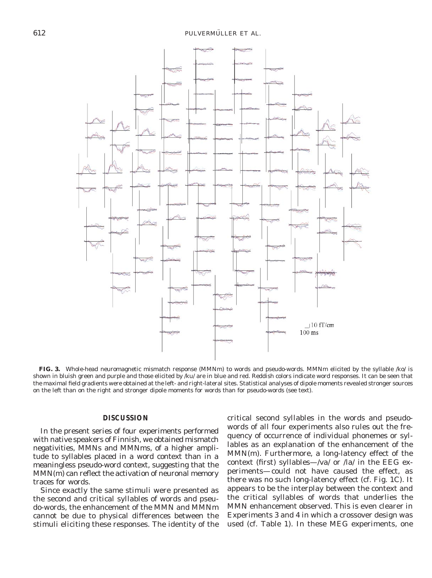

**FIG. 3.** Whole-head neuromagnetic mismatch response (MMNm) to words and pseudo-words. MMNm elicited by the syllable /ko/ is shown in bluish green and purple and those elicited by /ku/ are in blue and red. Reddish colors indicate word responses. It can be seen that the maximal field gradients were obtained at the left- and right-lateral sites. Statistical analyses of dipole moments revealed stronger sources on the left than on the right and stronger dipole moments for words than for pseudo-words (see text).

# **DISCUSSION**

In the present series of four experiments performed with native speakers of Finnish, we obtained mismatch negativities, MMNs and MMNms, of a higher amplitude to syllables placed in a word context than in a meaningless pseudo-word context, suggesting that the MMN(m) can reflect the activation of neuronal memory traces for words.

Since exactly the same stimuli were presented as the second and critical syllables of words and pseudo-words, the enhancement of the MMN and MMNm cannot be due to physical differences between the stimuli eliciting these responses. The identity of the

critical second syllables in the words and pseudowords of all four experiments also rules out the frequency of occurrence of individual phonemes or syllables as an explanation of the enhancement of the MMN(m). Furthermore, a long-latency effect of the context (first) syllables—/va/ or /la/ in the EEG experiments—could not have caused the effect, as there was no such long-latency effect (cf. Fig. 1C). It appears to be the interplay between the context and the critical syllables of words that underlies the MMN enhancement observed. This is even clearer in Experiments 3 and 4 in which a crossover design was used (cf. Table 1). In these MEG experiments, one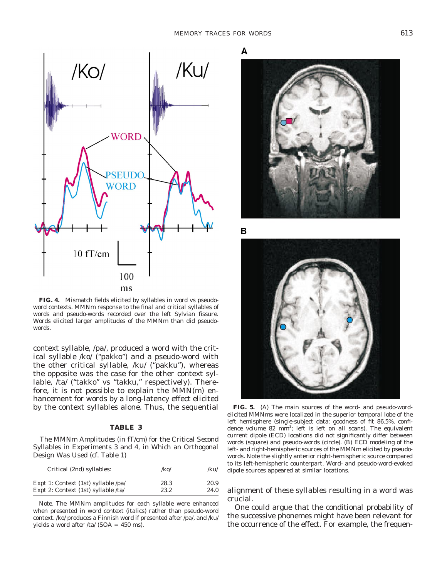

**FIG. 4.** Mismatch fields elicited by syllables in word vs pseudoword contexts. MMNm response to the final and critical syllables of words and pseudo-words recorded over the left Sylvian fissure. Words elicited larger amplitudes of the MMNm than did pseudowords.

context syllable, /pa/, produced a word with the critical syllable /ko/ ("*pakko*") and a pseudo-word with the other critical syllable, /ku/ ("pakku"), whereas the opposite was the case for the other context syllable, /ta/ ("takko" vs "*takku,*" respectively). Therefore, it is not possible to explain the MMN(m) enhancement for words by a long-latency effect elicited by the context syllables alone. Thus, the sequential

## **TABLE 3**

The MMNm Amplitudes (in fT/cm) for the Critical Second Syllables in Experiments 3 and 4, in Which an Orthogonal Design Was Used (cf. Table 1)

| Critical (2nd) syllables:           | /k <sub>0</sub> | /ku/ |
|-------------------------------------|-----------------|------|
| Expt 1: Context (1st) syllable /pa/ | 28.3            | 20.9 |
| Expt 2: Context (1st) syllable /ta/ | 23.2            | 24.0 |

*Note.* The MMNm amplitudes for each syllable were enhanced when presented in word context (italics) rather than pseudo-word context. /ko/ produces a Finnish word if presented after /pa/, and /ku/ yields a word after /ta/  $(SOA = 450 \text{ ms})$ .



B



**FIG. 5.** (A) The main sources of the word- and pseudo-wordelicited MMNms were localized in the superior temporal lobe of the left hemisphere (single-subject data: goodness of fit 86.5%, confidence volume 82 mm<sup>3</sup>; left is left on all scans). The equivalent current dipole (ECD) locations did not significantly differ between words (square) and pseudo-words (circle). (B) ECD modeling of the left- and right-hemispheric sources of the MMNm elicited by pseudowords. Note the slightly anterior right-hemispheric source compared to its left-hemispheric counterpart. Word- and pseudo-word-evoked dipole sources appeared at similar locations.

alignment of these syllables resulting in a word was crucial.

One could argue that the conditional probability of the successive phonemes might have been relevant for the occurrence of the effect. For example, the frequen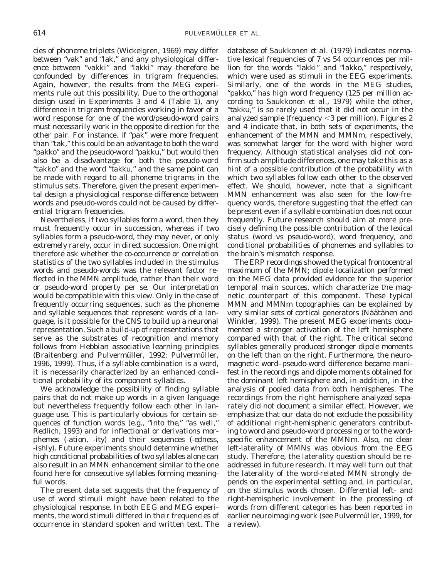cies of phoneme triplets (Wickelgren, 1969) may differ between "vak" and "lak," and any physiological difference between "vakki" and "*lakki*" may therefore be confounded by differences in trigram frequencies. Again, however, the results from the MEG experiments rule out this possibility. Due to the orthogonal design used in Experiments 3 and 4 (Table 1), any difference in trigram frequencies working in favor of a word response for one of the word/pseudo-word pairs must necessarily work in the opposite direction for the other pair. For instance, if "pak" were more frequent than "tak," this could be an advantage to both the word "*pakko*" and the pseudo-word "pakku," but would then also be a disadvantage for both the pseudo-word "takko" and the word "*takku,*" and the same point can be made with regard to all phoneme trigrams in the stimulus sets. Therefore, given the present experimental design a physiological response difference between words and pseudo-words could not be caused by differential trigram frequencies.

Nevertheless, if two syllables form a word, then they must frequently occur in succession, whereas if two syllables form a pseudo-word, they may never, or only extremely rarely, occur in direct succession. One might therefore ask whether the co-occurrence or correlation statistics of the two syllables included in the stimulus words and pseudo-words was the relevant factor reflected in the MMN amplitude, rather than their word or pseudo-word property per se. Our interpretation would be compatible with this view. Only in the case of frequently occurring sequences, such as the phoneme and syllable sequences that represent words of a language, is it possible for the CNS to build up a neuronal representation. Such a build-up of representations that serve as the substrates of recognition and memory follows from Hebbian associative learning principles (Braitenberg and Pulvermüller, 1992; Pulvermüller, 1996, 1999). Thus, if a syllable combination is a word, it is necessarily characterized by an enhanced conditional probability of its component syllables.

We acknowledge the possibility of finding syllable pairs that do not make up words in a given language but nevertheless frequently follow each other in language use. This is particularly obvious for certain sequences of function words (e.g., *"into the," "as well,"* Redlich, 1993) and for inflectional or derivations morphemes (*-ation, -ity*) and their sequences (*-edness, -ishly*). Future experiments should determine whether high conditional probabilities of two syllables alone can also result in an MMN enhancement similar to the one found here for consecutive syllables forming meaningful words.

The present data set suggests that the frequency of use of word stimuli might have been related to the physiological response. In both EEG and MEG experiments, the word stimuli differed in their frequencies of occurrence in standard spoken and written text. The

database of Saukkonen *et al.* (1979) indicates normative lexical frequencies of 7 vs 54 occurrences per million for the words "*lakki*" and "*lakko,*" respectively, which were used as stimuli in the EEG experiments. Similarly, one of the words in the MEG studies, "*pakko,*" has high word frequency (125 per million according to Saukkonen *et al.,* 1979) while the other, "*takku,*" is so rarely used that it did not occur in the analyzed sample (frequency  $<$ 3 per million). Figures 2 and 4 indicate that, in both sets of experiments, the enhancement of the MMN and MMNm, respectively, was somewhat larger for the word with higher word frequency. Although statistical analyses did not confirm such amplitude differences, one may take this as a hint of a possible contribution of the probability with which two syllables follow each other to the observed effect. We should, however, note that a significant MMN enhancement was also seen for the low-frequency words, therefore suggesting that the effect can be present even if a syllable combination does not occur frequently. Future research should aim at more precisely defining the possible contribution of the lexical status (word vs pseudo-word), word frequency, and conditional probabilities of phonemes and syllables to the brain's mismatch response.

The ERP recordings showed the typical frontocentral maximum of the MMN; dipole localization performed on the MEG data provided evidence for the superior temporal main sources, which characterize the magnetic counterpart of this component. These typical MMN and MMNm topographies can be explained by very similar sets of cortical generators (Näätänen and Winkler, 1999). The present MEG experiments documented a stronger activation of the left hemisphere compared with that of the right. The critical second syllables generally produced stronger dipole moments on the left than on the right. Furthermore, the neuromagnetic word–pseudo-word difference became manifest in the recordings and dipole moments obtained for the dominant left hemisphere and, in addition, in the analysis of pooled data from both hemispheres. The recordings from the right hemisphere analyzed separately did not document a similar effect. However, we emphasize that our data do not exclude the possibility of additional right-hemispheric generators contributing to word and pseudo-word processing or to the wordspecific enhancement of the MMNm. Also, no clear left-laterality of MMNs was obvious from the EEG study. Therefore, the laterality question should be readdressed in future research. It may well turn out that the laterality of the word-related MMN strongly depends on the experimental setting and, in particular, on the stimulus words chosen. Differential left- and right-hemispheric involvement in the processing of words from different categories has been reported in earlier neuroimaging work (see Pulvermüller, 1999, for a review).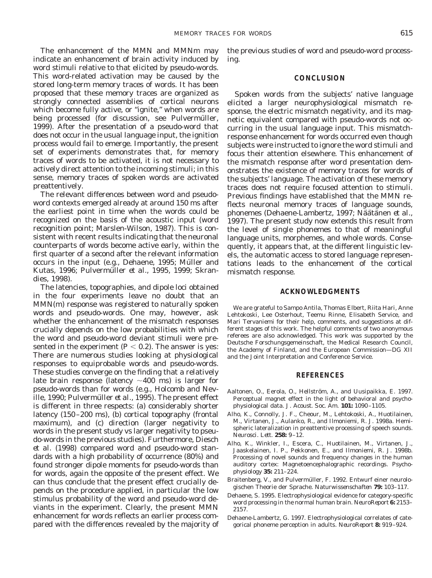The enhancement of the MMN and MMNm may indicate an enhancement of brain activity induced by word stimuli relative to that elicited by pseudo-words. This word-related activation may be caused by the stored long-term memory traces of words. It has been proposed that these memory traces are organized as strongly connected assemblies of cortical neurons which become fully active, or "ignite," when words are being processed (for discussion, see Pulvermüller, 1999). After the presentation of a pseudo-word that does not occur in the usual language input, the ignition process would fail to emerge. Importantly, the present set of experiments demonstrates that, for memory traces of words to be activated, it is not necessary to actively direct attention to the incoming stimuli; in this sense, memory traces of spoken words are activated preattentively.

The relevant differences between word and pseudoword contexts emerged already at around 150 ms after the earliest point in time when the words could be recognized on the basis of the acoustic input (word recognition point; Marslen-Wilson, 1987). This is consistent with recent results indicating that the neuronal counterparts of words become active early, within the first quarter of a second after the relevant information occurs in the input (e.g., Dehaene, 1995; Müller and Kutas, 1996; Pulvermüller et al., 1995, 1999; Skrandies, 1998).

The latencies, topographies, and dipole loci obtained in the four experiments leave no doubt that an MMN(m) response was registered to naturally spoken words and pseudo-words. One may, however, ask whether the enhancement of the mismatch responses crucially depends on the low probabilities with which the word and pseudo-word deviant stimuli were presented in the experiment  $(P < 0.2)$ . The answer is yes: There are numerous studies looking at physiological responses to equiprobable words and pseudo-words. These studies converge on the finding that a relatively late brain response (latency  $\sim$ 400 ms) is larger for pseudo-words than for words (e.g., Holcomb and Neville, 1990; Pulvermüller *et al.*, 1995). The present effect is different in three respects: (a) considerably shorter latency (150–200 ms), (b) cortical topography (frontal maximum), and (c) direction (larger negativity to words in the present study vs larger negativity to pseudo-words in the previous studies). Furthermore, Diesch *et al.* (1998) compared word and pseudo-word standards with a high probability of occurrence (80%) and found stronger dipole moments for pseudo-words than for words, again the opposite of the present effect. We can thus conclude that the present effect crucially depends on the procedure applied, in particular the low stimulus probability of the word and pseudo-word deviants in the experiment. Clearly, the present MMN enhancement for words reflects an earlier process compared with the differences revealed by the majority of

the previous studies of word and pseudo-word processing.

#### **CONCLUSION**

Spoken words from the subjects' native language elicited a larger neurophysiological mismatch response, the electric mismatch negativity, and its magnetic equivalent compared with pseudo-words not occurring in the usual language input. This mismatchresponse enhancement for words occurred even though subjects were instructed to ignore the word stimuli and focus their attention elsewhere. This enhancement of the mismatch response after word presentation demonstrates the existence of memory traces for words of the subjects' language. The activation of these memory traces does not require focused attention to stimuli. Previous findings have established that the MMN reflects neuronal memory traces of language sounds, phonemes (Dehaene-Lambertz, 1997; Näätänen *et al.*, 1997). The present study now extends this result from the level of single phonemes to that of meaningful language units, morphemes, and whole words. Consequently, it appears that, at the different linguistic levels, the automatic access to stored language representations leads to the enhancement of the cortical mismatch response.

## **ACKNOWLEDGMENTS**

We are grateful to Sampo Antila, Thomas Elbert, Riita Hari, Anne Lehtokoski, Lee Osterhout, Teemu Rinne, Elisabeth Service, and Mari Tervaniemi for their help, comments, and suggestions at different stages of this work. The helpful comments of two anonymous referees are also acknowledged. This work was supported by the Deutsche Forschungsgemeinschaft, the Medical Research Council, the Academy of Finland, and the European Commission—DG XII and the Joint Interpretation and Conference Service.

## **REFERENCES**

- Aaltonen, O., Eerola, O., Hellström, A., and Uusipaikka, E. 1997. Perceptual magnet effect in the light of behavioral and psychophysiological data. *J. Acoust. Soc. Am.* **101:** 1090–1105.
- Alho, K., Connolly, J. F., Cheour, M., Lehtokoski, A., Huotilainen, M., Virtanen, J., Aulanko, R., and Ilmoniemi, R. J. 1998a. Hemispheric lateralization in preattentive processing of speech sounds. *Neurosci. Lett.* **258:** 9–12.
- Alho, K., Winkler, I., Escera, C., Huotilainen, M., Virtanen, J., Jaaskelainen, I. P., Pekkonen, E., and Ilmoniemi, R. J. 1998b. Processing of novel sounds and frequency changes in the human auditory cortex: Magnetoencephalographic recordings. *Psychophysiology* **35:** 211–224.
- Braitenberg, V., and Pulvermüller, F. 1992. Entwurf einer neurologischen Theorie der Sprache. *Naturwissenschaften* **79:** 103–117.
- Dehaene, S. 1995. Electrophysiological evidence for category-specific word processing in the normal human brain. *NeuroReport* **6:** 2153– 2157.
- Dehaene-Lambertz, G. 1997. Electrophysiological correlates of categorical phoneme perception in adults. *NeuroReport* **8:** 919–924.